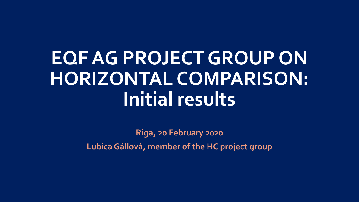## **EQF AG PROJECT GROUP ON HORIZONTAL COMPARISON: Initial results**

**Riga, 20 February 2020 Lubica Gállová, member of the HC project group**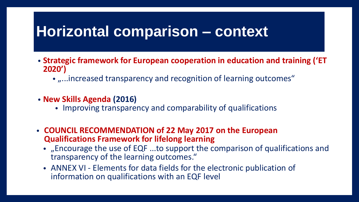### **Horizontal comparison – context**

- **Strategic framework for European cooperation in education and training ('ET 2020')**
	- "...increased transparency and recognition of learning outcomes"
- **New Skills Agenda (2016)**
	- Improving transparency and comparability of qualifications
- **COUNCIL RECOMMENDATION of 22 May 2017 on the European Qualifications Framework for lifelong learning**
	- "Encourage the use of EQF ...to support the comparison of qualifications and transparency of the learning outcomes."
	- ANNEX VI Elements for data fields for the electronic publication of information on qualifications with an EQF level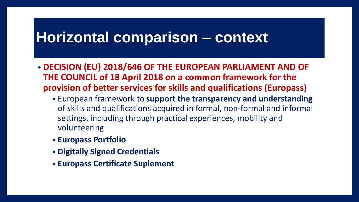## **Horizontal comparison – context**

- **DECISION (EU) 2018/646 OF THE EUROPEAN PARLIAMENT AND OF THE COUNCIL of 18 April 2018 on a common framework for the provision of better services for skills and qualifications (Europass)**
	- European framework to **support the transparency and understanding**  of skills and qualifications acquired in formal, non-formal and informal settings, including through practical experiences, mobility and volunteering
	- **Europass Portfolio**
	- **Digitally Signed Credentials**
	- **Europass Certificate Suplement**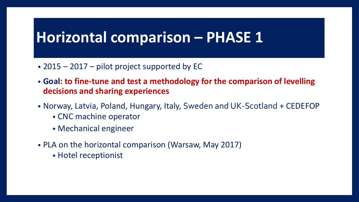## **Horizontal comparison – PHASE 1**

- 2015 2017 pilot project supported by EC
- **Goal: to fine-tune and test a methodology for the comparison of levelling decisions and sharing experiences**
- Norway, Latvia, Poland, Hungary, Italy, Sweden and UK-Scotland + CEDEFOP
	- CNC machine operator
	- Mechanical engineer
- PLA on the horizontal comparison (Warsaw, May 2017)
	- Hotel receptionist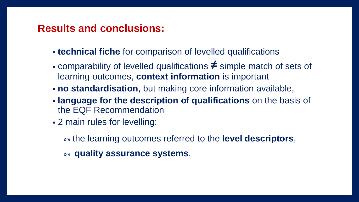### **Results and conclusions:**

- **technical fiche** for comparison of levelled qualifications
- comparability of levelled qualifications **≠** simple match of sets of learning outcomes, **context information** is important
- **no standardisation**, but making core information available,
- **language for the description of qualifications** on the basis of the EQF Recommendation
- 2 main rules for levelling:

»» the learning outcomes referred to the **level descriptors**,

»» **quality assurance systems**.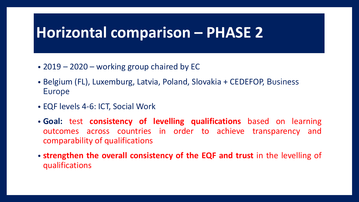## **Horizontal comparison – PHASE 2**

- 2019 2020 working group chaired by EC
- Belgium (FL), Luxemburg, Latvia, Poland, Slovakia + CEDEFOP, Business Europe
- EQF levels 4-6: ICT, Social Work
- **Goal:** test **consistency of levelling qualifications** based on learning outcomes across countries in order to achieve transparency and comparability of qualifications
- **strengthen the overall consistency of the EQF and trust** in the levelling of qualifications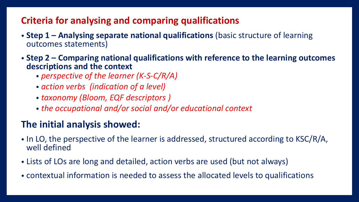### **Criteria for analysing and comparing qualifications**

- **Step 1 – Analysing separate national qualifications** (basic structure of learning outcomes statements)
- **Step 2 – Comparing national qualifications with reference to the learning outcomes descriptions and the context**
	- *perspective of the learner (K-S-C/R/A)*
	- *action verbs (indication of a level)*
	- *taxonomy (Bloom, EQF descriptors )*
	- *the occupational and/or social and/or educational context*

### **The initial analysis showed:**

- In LO, the perspective of the learner is addressed, structured according to KSC/R/A, well defined
- Lists of LOs are long and detailed, action verbs are used (but not always)
- contextual information is needed to assess the allocated levels to qualifications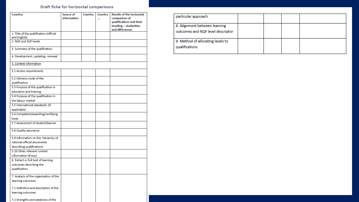#### Draft fiche for horizontal comparisons

| Country:                                                                                        | Source of<br>information | Country | Country<br>$\ddotsc$ | <b>Results of the horizontal</b><br>comparison of<br>qualifications and their<br>levelling - similarities<br>and differences |
|-------------------------------------------------------------------------------------------------|--------------------------|---------|----------------------|------------------------------------------------------------------------------------------------------------------------------|
| 1. Title of the qualification (official<br>and English)                                         |                          |         |                      |                                                                                                                              |
| 2. NQF and EQF levels                                                                           |                          |         |                      |                                                                                                                              |
| 3. Summary of the qualification                                                                 |                          |         |                      |                                                                                                                              |
| 4. Development, updating, renewal                                                               |                          |         |                      |                                                                                                                              |
| 5. Context information                                                                          |                          |         |                      |                                                                                                                              |
| 5.1 Access requirements                                                                         |                          |         |                      |                                                                                                                              |
| 5.2 Delivery mode of the<br>qualification                                                       |                          |         |                      |                                                                                                                              |
| 5.3 Purpose of the qualification in<br>education and training                                   |                          |         |                      |                                                                                                                              |
| 5.4 Purpose of the qualification in<br>the labour market                                        |                          |         |                      |                                                                                                                              |
| 5.5 International standards (if                                                                 |                          |         |                      |                                                                                                                              |
| applicable)<br>5.6 Competent/awarding/certifying                                                |                          |         |                      |                                                                                                                              |
| body                                                                                            |                          |         |                      |                                                                                                                              |
| 5.7 Assessment of student/learner                                                               |                          |         |                      |                                                                                                                              |
| 5.8 Quality assurance                                                                           |                          |         |                      |                                                                                                                              |
| 5.9 Information on the hierarchy of<br>national official documents<br>describing qualifications |                          |         |                      |                                                                                                                              |
| 5.10 Other relevant context<br>information (if any)                                             |                          |         |                      |                                                                                                                              |
| 6. Extract or full text of learning<br>outcomes describing the<br>qualification                 |                          |         |                      |                                                                                                                              |
| 7. Analysis of the organization of the<br>learning outcomes                                     |                          |         |                      |                                                                                                                              |
| 7.1 Definition and description of the<br>learning outcomes                                      |                          |         |                      |                                                                                                                              |
| 7.2 Strengths and weakness of the                                                               |                          |         |                      |                                                                                                                              |

| particular approach                                                |  |  |
|--------------------------------------------------------------------|--|--|
| 8. Alignment between learning<br>outcomes and NQF level descriptor |  |  |
| 9. Method of allocating levels to<br>qualifications                |  |  |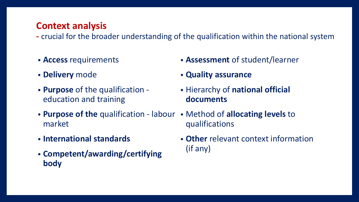### **Context analysis**

- **-** crucial for the broader understanding of the qualification within the national system
- **Access** requirements
- **Delivery** mode
- **Purpose** of the qualification education and training
- **Purpose of the** qualification labour Method of **allocating levels** to market
- **International standards**
- **Competent/awarding/certifying body**
- **Assessment** of student/learner
- **Quality assurance**
- Hierarchy of **national official documents**
- qualifications
- **Other** relevant context information (if any)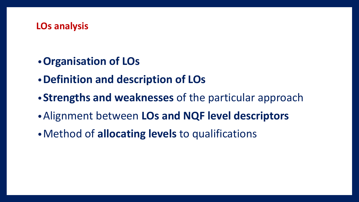### **LOs analysis**

- •**Organisation of LOs**
- •**Definition and description of LOs**
- •**Strengths and weaknesses** of the particular approach
- •Alignment between **LOs and NQF level descriptors**
- •Method of **allocating levels** to qualifications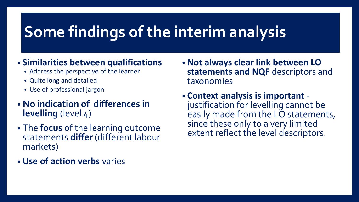## **Some findings of the interim analysis**

### • **Similarities between qualifications**

- Address the perspective of the learner
- Quite long and detailed
- Use of professional jargon
- **No indication of differences in levelling** (level 4)
- The **focus** of the learning outcome statements **differ** (different labour markets)
- **Use of action verbs** varies
- **Not always clear link between LO statements and NQF** descriptors and taxonomies
- **Context analysis is important** justification for levelling cannot be easily made from the LO statements, since these only to a very limited extent reflect the level descriptors.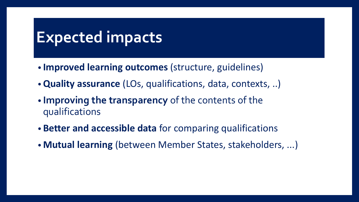## **Expected impacts**

- **Improved learning outcomes** (structure, guidelines)
- •**Quality assurance** (LOs, qualifications, data, contexts, ..)
- **Improving the transparency** of the contents of the qualifications
- **Better and accessible data** for comparing qualifications
- **Mutual learning** (between Member States, stakeholders, ...)